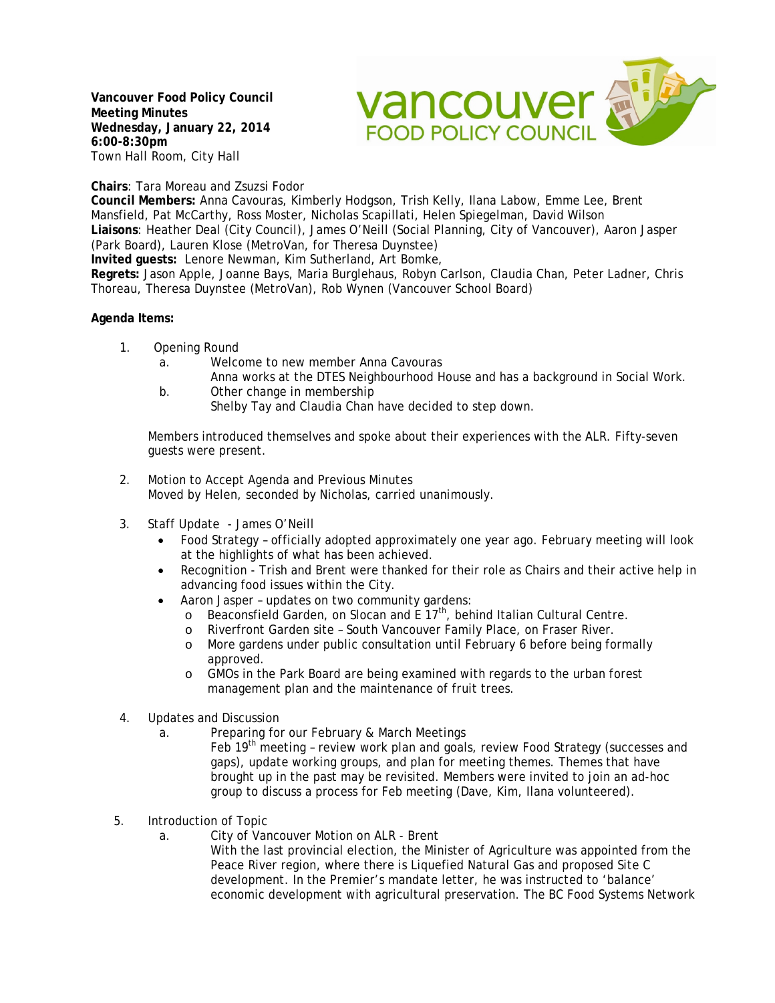**Vancouver Food Policy Council Meeting Minutes Wednesday, January 22, 2014 6:00-8:30pm** Town Hall Room, City Hall



**Chairs**: Tara Moreau and Zsuzsi Fodor

**Council Members:** Anna Cavouras, Kimberly Hodgson, Trish Kelly, Ilana Labow, Emme Lee, Brent Mansfield, Pat McCarthy, Ross Moster, Nicholas Scapillati, Helen Spiegelman, David Wilson **Liaisons**: Heather Deal (City Council), James O'Neill (Social Planning, City of Vancouver), Aaron Jasper (Park Board), Lauren Klose (MetroVan, for Theresa Duynstee)

**Invited guests:** Lenore Newman, Kim Sutherland, Art Bomke,

**Regrets:** Jason Apple, Joanne Bays, Maria Burglehaus, Robyn Carlson, Claudia Chan, Peter Ladner, Chris Thoreau, Theresa Duynstee (MetroVan), Rob Wynen (Vancouver School Board)

## **Agenda Items:**

- 1. Opening Round
	- a. Welcome to new member Anna Cavouras
	- Anna works at the DTES Neighbourhood House and has a background in Social Work. b. Other change in membership
		- Shelby Tay and Claudia Chan have decided to step down.

Members introduced themselves and spoke about their experiences with the ALR. Fifty-seven guests were present.

- 2. Motion to Accept Agenda and Previous Minutes Moved by Helen, seconded by Nicholas, carried unanimously.
- 3. Staff Update James O'Neill
	- Food Strategy officially adopted approximately one year ago. February meeting will look at the highlights of what has been achieved.
	- Recognition Trish and Brent were thanked for their role as Chairs and their active help in advancing food issues within the City.
	- Aaron Jasper updates on two community gardens:
		- o Beaconsfield Garden, on Slocan and E  $17<sup>th</sup>$ , behind Italian Cultural Centre.<br>
		o Riverfront Garden site South Vancouver Family Place, on Fraser River.
		- Riverfront Garden site South Vancouver Family Place, on Fraser River.
		- o More gardens under public consultation until February 6 before being formally approved.
		- o GMOs in the Park Board are being examined with regards to the urban forest management plan and the maintenance of fruit trees.
- 4. Updates and Discussion
	- a. Preparing for our February & March Meetings

Feb 19<sup>th</sup> meeting - review work plan and goals, review Food Strategy (successes and gaps), update working groups, and plan for meeting themes. Themes that have brought up in the past may be revisited. Members were invited to join an ad-hoc group to discuss a process for Feb meeting (Dave, Kim, Ilana volunteered).

- 5. Introduction of Topic
	- a. City of Vancouver Motion on ALR Brent
		- With the last provincial election, the Minister of Agriculture was appointed from the Peace River region, where there is Liquefied Natural Gas and proposed Site C development. In the Premier's mandate letter, he was instructed to 'balance' economic development with agricultural preservation. The BC Food Systems Network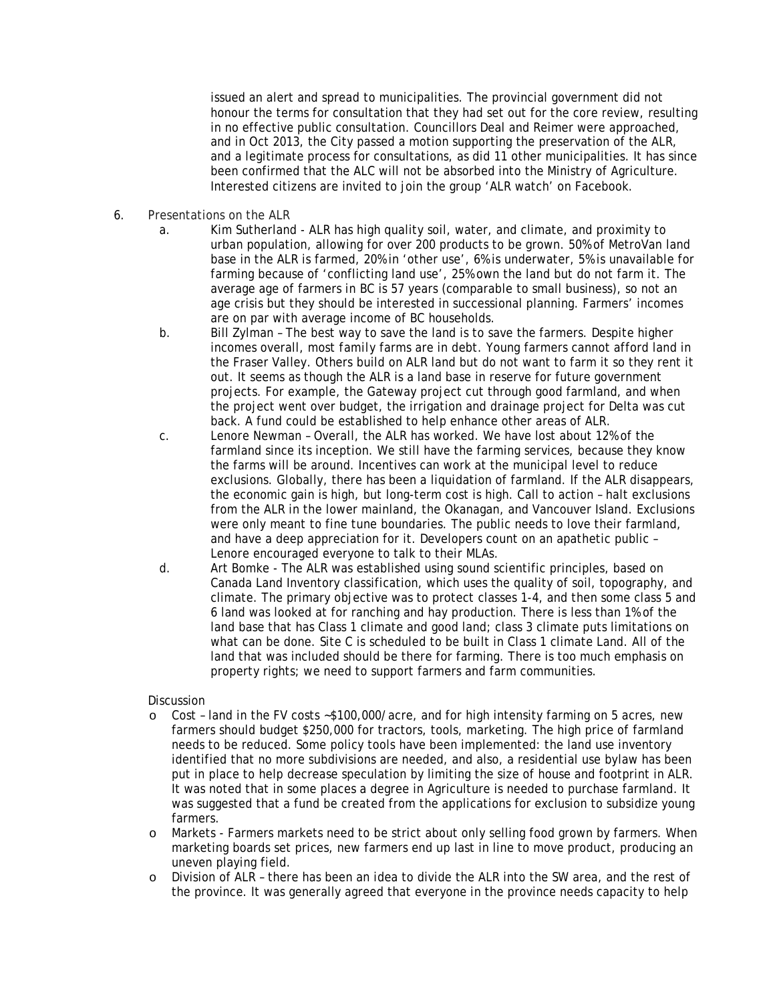issued an alert and spread to municipalities. The provincial government did not honour the terms for consultation that they had set out for the core review, resulting in no effective public consultation. Councillors Deal and Reimer were approached, and in Oct 2013, the City passed a motion supporting the preservation of the ALR, and a legitimate process for consultations, as did 11 other municipalities. It has since been confirmed that the ALC will not be absorbed into the Ministry of Agriculture. Interested citizens are invited to join the group 'ALR watch' on Facebook.

- 6. Presentations on the ALR
	- a. Kim Sutherland ALR has high quality soil, water, and climate, and proximity to urban population, allowing for over 200 products to be grown. 50% of MetroVan land base in the ALR is farmed, 20% in 'other use', 6% is underwater, 5% is unavailable for farming because of 'conflicting land use', 25% own the land but do not farm it. The average age of farmers in BC is 57 years (comparable to small business), so not an age crisis but they should be interested in successional planning. Farmers' incomes are on par with average income of BC households.
	- b. Bill Zylman The best way to save the land is to save the farmers. Despite higher incomes overall, most *family* farms are in debt. Young farmers cannot afford land in the Fraser Valley. Others build on ALR land but do not want to farm it so they rent it out. It seems as though the ALR is a land base in reserve for future government projects. For example, the Gateway project cut through good farmland, and when the project went over budget, the irrigation and drainage project for Delta was cut back. A fund could be established to help enhance other areas of ALR.
	- c. Lenore Newman Overall, the ALR has worked. We have lost about 12% of the farmland since its inception. We still have the farming services, because they know the farms will be around. Incentives can work at the municipal level to reduce exclusions. Globally, there has been a liquidation of farmland. If the ALR disappears, the economic gain is high, but long-term cost is high. Call to action – halt exclusions from the ALR in the lower mainland, the Okanagan, and Vancouver Island. Exclusions were only meant to fine tune boundaries. The public needs to love their farmland, and have a deep appreciation for it. Developers count on an apathetic public – Lenore encouraged everyone to talk to their MLAs.
	- d. Art Bomke The ALR was established using sound scientific principles, based on Canada Land Inventory classification, which uses the quality of soil, topography, and climate. The primary objective was to protect classes 1-4, and then some class 5 and 6 land was looked at for ranching and hay production. There is less than 1% of the land base that has Class 1 climate and good land; class 3 climate puts limitations on what can be done. Site C is scheduled to be built in Class 1 climate Land. All of the land that was included should be there for farming. There is too much emphasis on property rights; we need to support farmers and farm communities.

## **Discussion**

- o Cost land in the FV costs ~\$100,000/acre, and for high intensity farming on 5 acres, new farmers should budget \$250,000 for tractors, tools, marketing. The high price of farmland needs to be reduced. Some policy tools have been implemented: the land use inventory identified that no more subdivisions are needed, and also, a residential use bylaw has been put in place to help decrease speculation by limiting the size of house and footprint in ALR. It was noted that in some places a degree in Agriculture is needed to purchase farmland. It was suggested that a fund be created from the applications for exclusion to subsidize young farmers.
- o Markets Farmers markets need to be strict about only selling food grown by farmers. When marketing boards set prices, new farmers end up last in line to move product, producing an uneven playing field.
- o Division of ALR there has been an idea to divide the ALR into the SW area, and the rest of the province. It was generally agreed that everyone in the province needs capacity to help